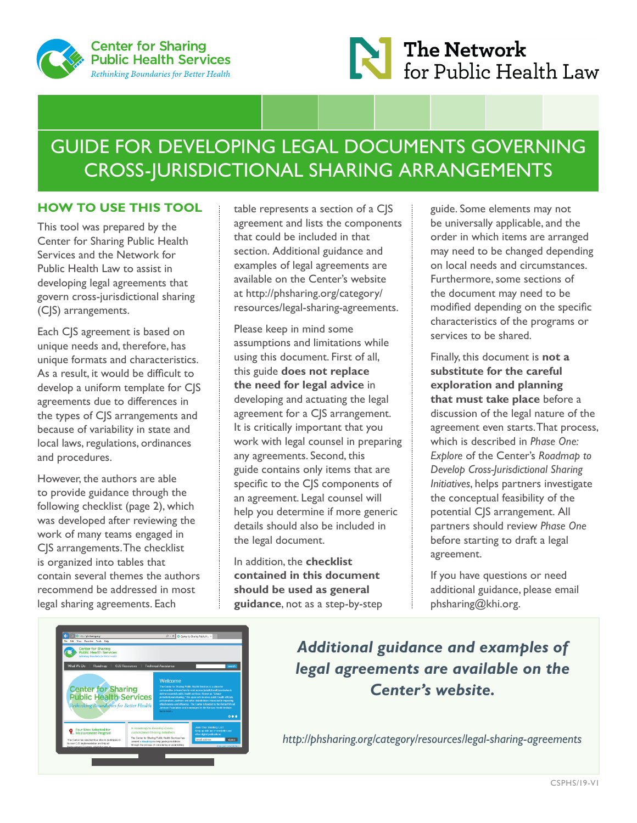



# GUIDE FOR DEVELOPING LEGAL DOCUMENTS GOVERNING CROSS-JURISDICTIONAL SHARING ARRANGEMENTS

## **HOW TO USE THIS TOOL**

This tool was prepared by the Center for Sharing Public Health Services and the Network for Public Health Law to assist in developing legal agreements that govern cross-jurisdictional sharing (CJS) arrangements.

Each CJS agreement is based on unique needs and, therefore, has unique formats and characteristics. As a result, it would be difficult to develop a uniform template for CJS agreements due to differences in the types of CJS arrangements and because of variability in state and local laws, regulations, ordinances and procedures.

However, the authors are able to provide guidance through the following checklist (page 2), which was developed after reviewing the work of many teams engaged in CJS arrangements. The checklist is organized into tables that contain several themes the authors recommend be addressed in most legal sharing agreements. Each

table represents a section of a CJS agreement and lists the components that could be included in that section. Additional guidance and examples of legal agreements are available on the Center's website at [http://phsharing.org/category/](http://phsharing.org/category/resources/legal-sharing-agreements) [resources/legal-sharing-agreements.](http://phsharing.org/category/resources/legal-sharing-agreements)

Please keep in mind some assumptions and limitations while using this document. First of all, this guide **does not replace the need for legal advice** in developing and actuating the legal agreement for a CJS arrangement. It is critically important that you work with legal counsel in preparing any agreements. Second, this guide contains only items that are specific to the CJS components of an agreement. Legal counsel will help you determine if more generic details should also be included in the legal document.

In addition, the **checklist contained in this document should be used as general guidance**, not as a step-by-step guide. Some elements may not be universally applicable, and the order in which items are arranged may need to be changed depending on local needs and circumstances. Furthermore, some sections of the document may need to be modified depending on the specific characteristics of the programs or services to be shared.

Finally, this document is **not a substitute for the careful exploration and planning that must take place** before a discussion of the legal nature of the agreement even starts. That process, which is described in *Phase One: Explore* of the Center's *Roadmap to Develop Cross-Jurisdictional Sharing Initiatives*, helps partners investigate the conceptual feasibility of the potential CJS arrangement. All partners should review *Phase One* before starting to draft a legal agreement.

If you have questions or need additional guidance, please email [phsharing@khi.org.](mailto:phsharing@khi.org)



*Additional guidance and examples of legal agreements are available on the Center's website.*

*<http://phsharing.org/category/resources/legal-sharing-agreements>*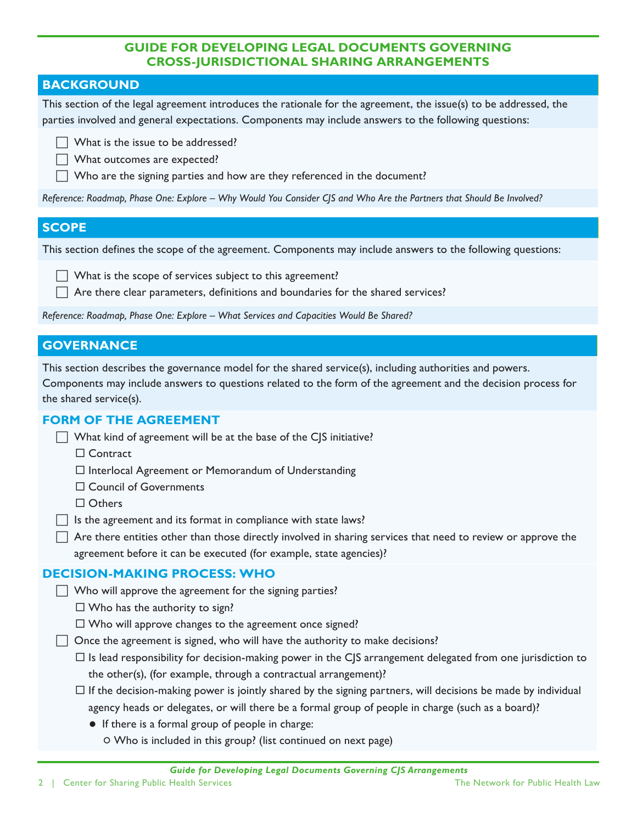### **GUIDE FOR DEVELOPING LEGAL DOCUMENTS GOVERNING CROSS-JURISDICTIONAL SHARING ARRANGEMENTS**

## **BACKGROUND**

This section of the legal agreement introduces the rationale for the agreement, the issue(s) to be addressed, the parties involved and general expectations. Components may include answers to the following questions:

 $\Box$  What is the issue to be addressed?

What outcomes are expected?

Who are the signing parties and how are they referenced in the document?

*Reference: Roadmap, Phase One: Explore – Why Would You Consider CJS and Who Are the Partners that Should Be Involved?*

#### **SCOPE**

This section defines the scope of the agreement. Components may include answers to the following questions:

 $\Box$  What is the scope of services subject to this agreement?

 $\Box$  Are there clear parameters, definitions and boundaries for the shared services?

*Reference: Roadmap, Phase One: Explore – What Services and Capacities Would Be Shared?*

## **GOVERNANCE**

This section describes the governance model for the shared service(s), including authorities and powers.

Components may include answers to questions related to the form of the agreement and the decision process for the shared service(s).

#### **FORM OF THE AGREEMENT**

- What kind of agreement will be at the base of the CJS initiative?
	- □ Contract
	- $\Box$  Interlocal Agreement or Memorandum of Understanding
	- □ Council of Governments
	- □ Others
- $\Box$  Is the agreement and its format in compliance with state laws?

 $\Box$  Are there entities other than those directly involved in sharing services that need to review or approve the agreement before it can be executed (for example, state agencies)?

#### **DECISION-MAKING PROCESS: WHO**

 $\Box$  Who will approve the agreement for the signing parties?

 $\Box$  Who has the authority to sign?

 $\Box$  Who will approve changes to the agreement once signed?

- $\Box$  Once the agreement is signed, who will have the authority to make decisions?
	- $\Box$  Is lead responsibility for decision-making power in the CJS arrangement delegated from one jurisdiction to the other(s), (for example, through a contractual arrangement)?
	- $\Box$  If the decision-making power is jointly shared by the signing partners, will decisions be made by individual agency heads or delegates, or will there be a formal group of people in charge (such as a board)?
		- If there is a formal group of people in charge:
			- Who is included in this group? (list continued on next page)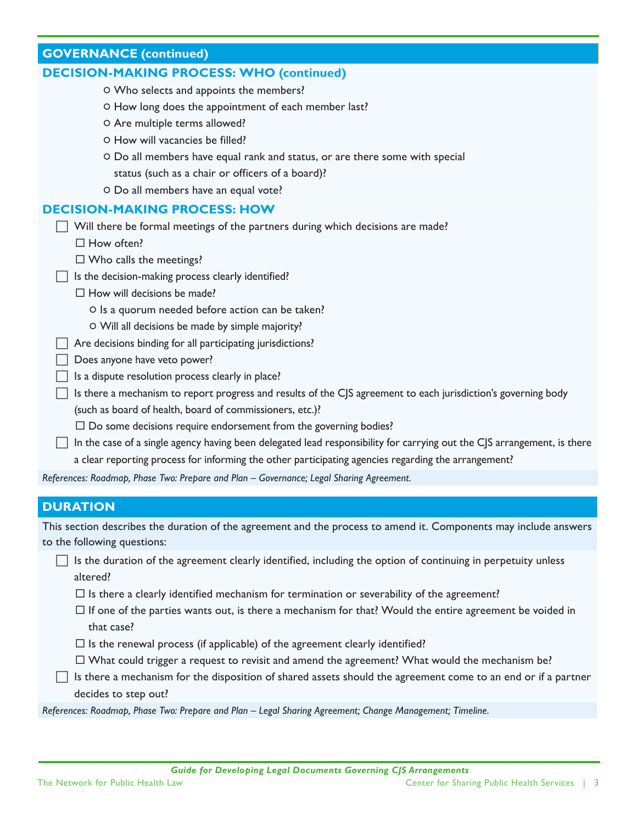| $\sim$ , $\sim$ (concinuou)                                                    |
|--------------------------------------------------------------------------------|
| <b>DECISION-MAKING PROCESS: WHO (continued)</b>                                |
| O Who selects and appoints the members?                                        |
| O How long does the appointment of each member last?                           |
| O Are multiple terms allowed?                                                  |
| O How will vacancies be filled?                                                |
| O Do all members have equal rank and status, or are there some with special    |
| status (such as a chair or officers of a board)?                               |
| O Do all members have an equal vote?                                           |
| <b>DECISION-MAKING PROCESS: HOW</b>                                            |
| Will there be formal meetings of the partners during which decisions are made? |
| $\Box$ How often?                                                              |
| $\Box$ Who calls the meetings?                                                 |
| Is the decision-making process clearly identified?                             |
| $\Box$ How will decisions be made?                                             |
| O Is a quorum needed before action can be taken?                               |
| O Will all decisions be made by simple majority?                               |
| Are decisions binding for all participating jurisdictions?                     |
| Does anyone have veto power?                                                   |
| Is a dispute resolution process clearly in place?                              |

(such as board of health, board of commissioners, etc.)?  $\square$  Do some decisions require endorsement from the governing bodies?

 $\Box$  Is there a mechanism to report progress and results of the CJS agreement to each jurisdiction's governing body

 $\Box$  In the case of a single agency having been delegated lead responsibility for carrying out the CJS arrangement, is there a clear reporting process for informing the other participating agencies regarding the arrangement?

*References: Roadmap, Phase Two: Prepare and Plan – Governance; Legal Sharing Agreement.*

#### **DURATION**

**GOVERNANCE (continued)**

This section describes the duration of the agreement and the process to amend it. Components may include answers to the following questions:

 $\Box$  Is the duration of the agreement clearly identified, including the option of continuing in perpetuity unless altered?

 $\Box$  Is there a clearly identified mechanism for termination or severability of the agreement?

- $\Box$  If one of the parties wants out, is there a mechanism for that? Would the entire agreement be voided in that case?
- $\Box$  Is the renewal process (if applicable) of the agreement clearly identified?
- What could trigger a request to revisit and amend the agreement? What would the mechanism be?
- $\Box$  Is there a mechanism for the disposition of shared assets should the agreement come to an end or if a partner decides to step out?

*References: Roadmap, Phase Two: Prepare and Plan – Legal Sharing Agreement; Change Management; Timeline.*